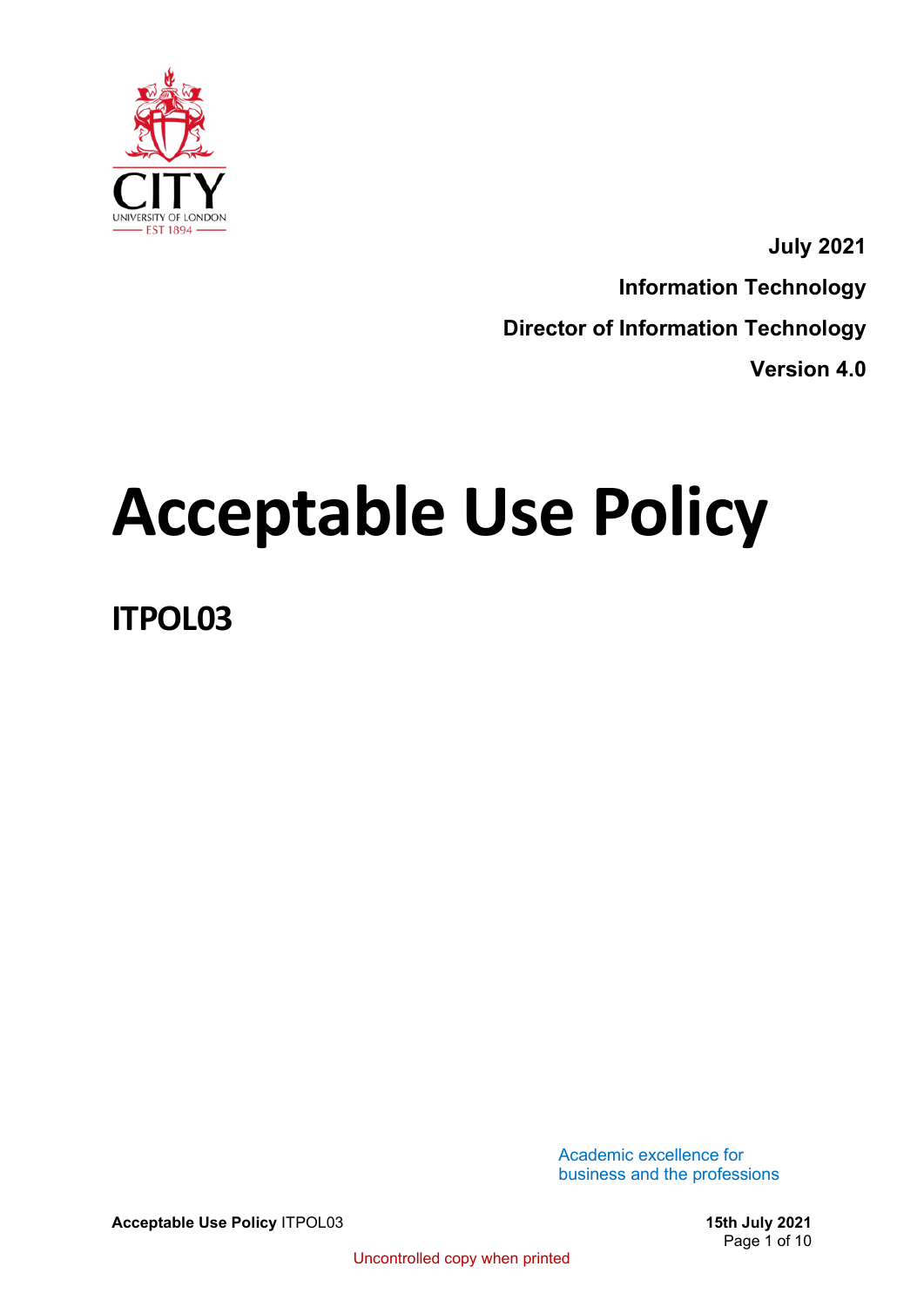

**July 2021 Information Technology Director of Information Technology Version 4.0**

# **Acceptable Use Policy**

**ITPOL03**

Academic excellence for business and the professions

**Acceptable Use Policy** ITPOL03 **15th July 2021**

Page 1 of 10

Uncontrolled copy when printed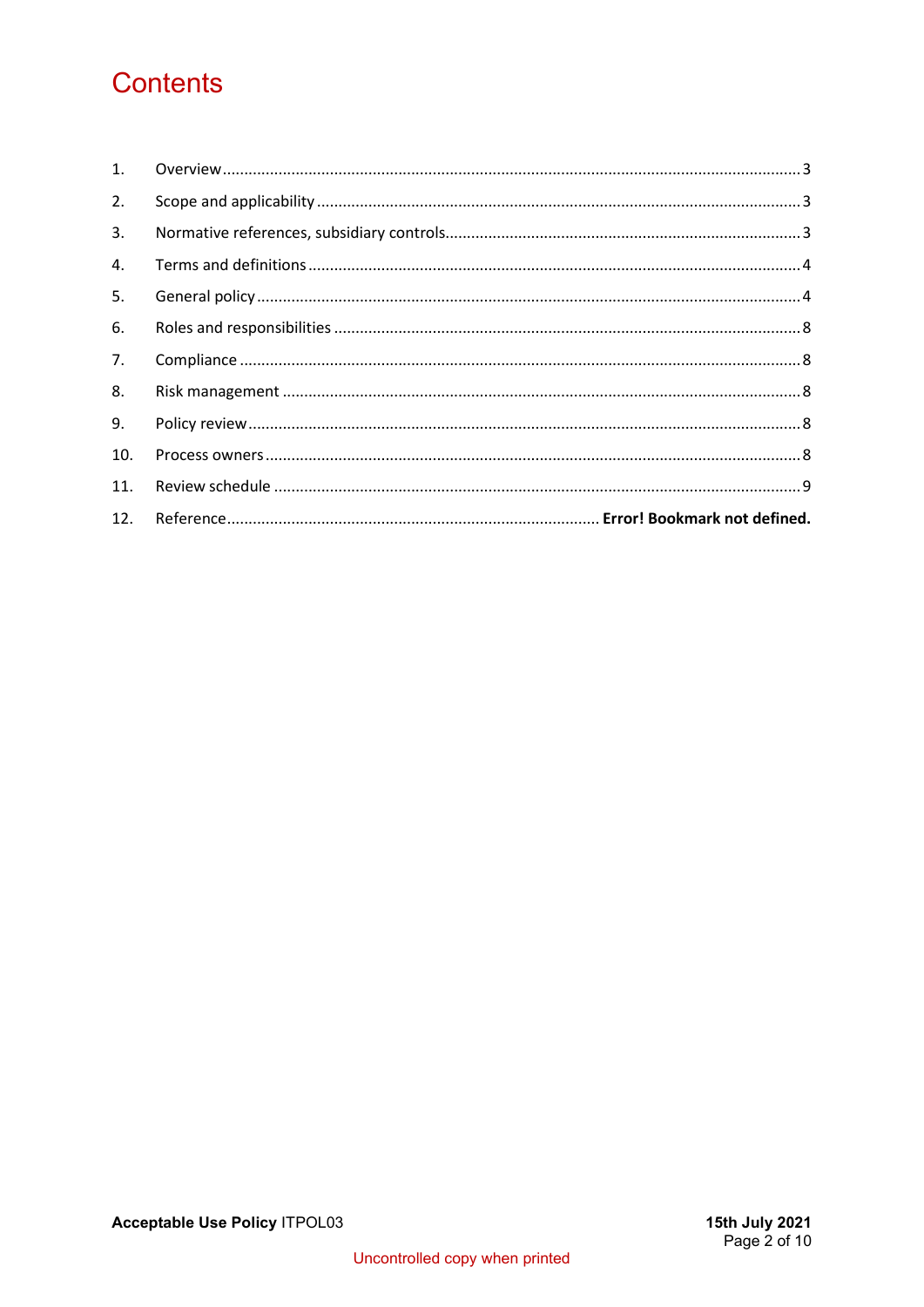# **Contents**

| 1.  |  |
|-----|--|
| 2.  |  |
| 3.  |  |
| 4.  |  |
| 5.  |  |
| 6.  |  |
| 7.  |  |
| 8.  |  |
| 9.  |  |
| 10. |  |
| 11. |  |
| 12. |  |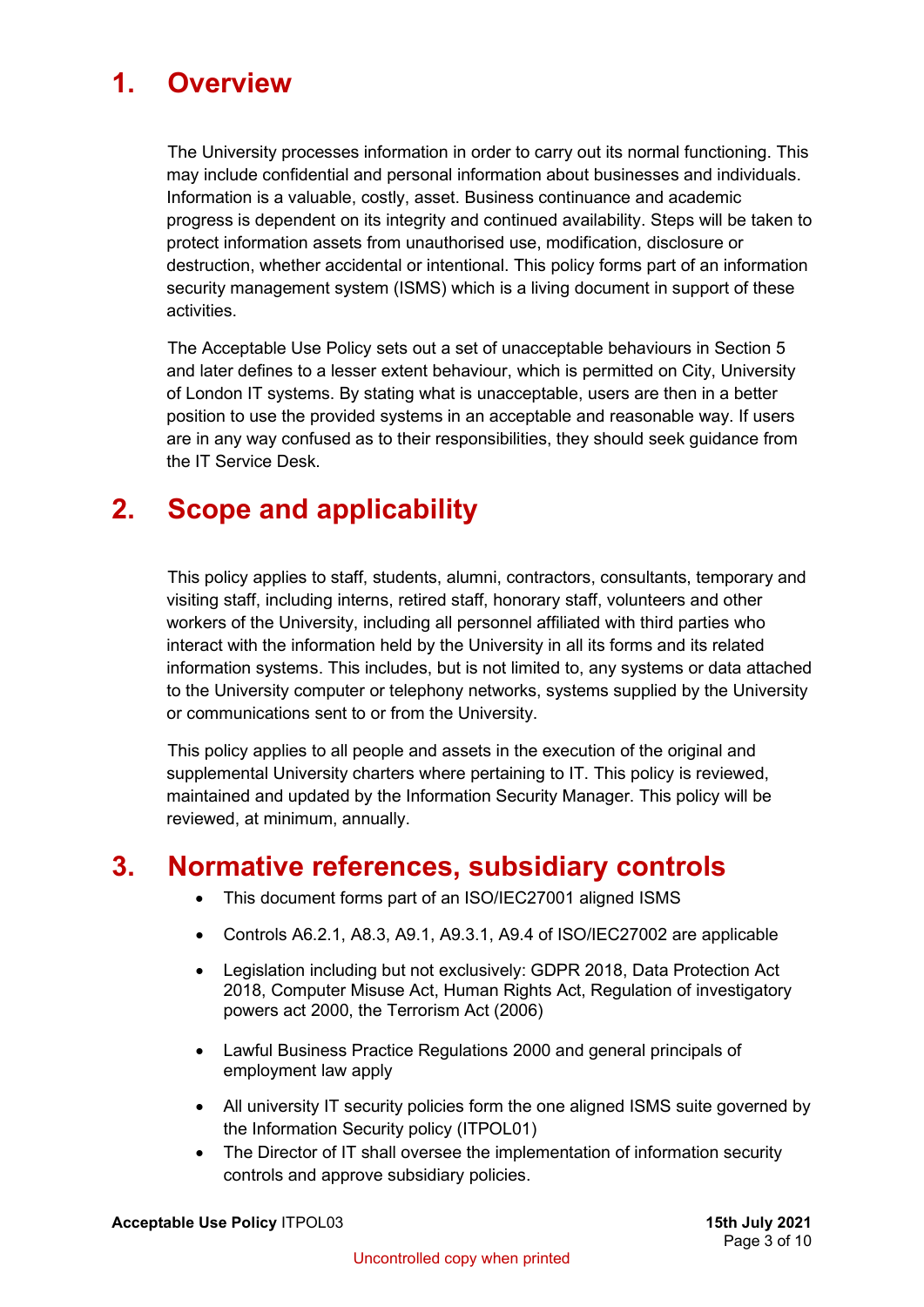## <span id="page-2-0"></span>**1. Overview**

The University processes information in order to carry out its normal functioning. This may include confidential and personal information about businesses and individuals. Information is a valuable, costly, asset. Business continuance and academic progress is dependent on its integrity and continued availability. Steps will be taken to protect information assets from unauthorised use, modification, disclosure or destruction, whether accidental or intentional. This policy forms part of an information security management system (ISMS) which is a living document in support of these activities.

The Acceptable Use Policy sets out a set of unacceptable behaviours in Section 5 and later defines to a lesser extent behaviour, which is permitted on City, University of London IT systems. By stating what is unacceptable, users are then in a better position to use the provided systems in an acceptable and reasonable way. If users are in any way confused as to their responsibilities, they should seek guidance from the IT Service Desk.

## <span id="page-2-1"></span>**2. Scope and applicability**

This policy applies to staff, students, alumni, contractors, consultants, temporary and visiting staff, including interns, retired staff, honorary staff, volunteers and other workers of the University, including all personnel affiliated with third parties who interact with the information held by the University in all its forms and its related information systems. This includes, but is not limited to, any systems or data attached to the University computer or telephony networks, systems supplied by the University or communications sent to or from the University.

This policy applies to all people and assets in the execution of the original and supplemental University charters where pertaining to IT. This policy is reviewed, maintained and updated by the Information Security Manager. This policy will be reviewed, at minimum, annually.

#### <span id="page-2-2"></span>**3. Normative references, subsidiary controls**

- This document forms part of an ISO/IEC27001 aligned ISMS
- Controls A6.2.1, A8.3, A9.1, A9.3.1, A9.4 of ISO/IEC27002 are applicable
- Legislation including but not exclusively: GDPR 2018, Data Protection Act 2018, Computer Misuse Act, Human Rights Act, Regulation of investigatory powers act 2000, the Terrorism Act (2006)
- Lawful Business Practice Regulations 2000 and general principals of employment law apply
- All university IT security policies form the one aligned ISMS suite governed by the Information Security policy (ITPOL01)
- The Director of IT shall oversee the implementation of information security controls and approve subsidiary policies.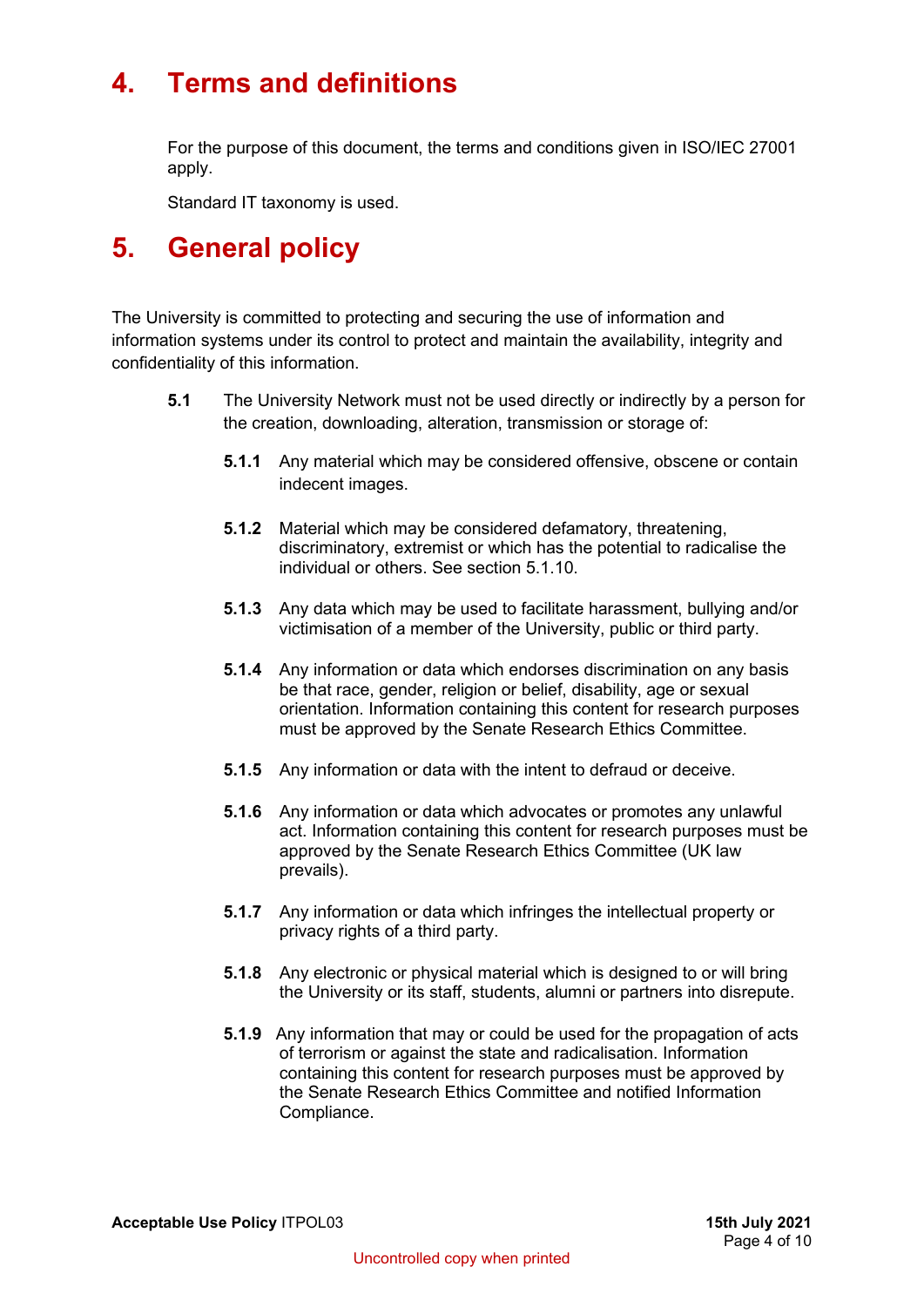## <span id="page-3-0"></span>**4. Terms and definitions**

For the purpose of this document, the terms and conditions given in ISO/IEC 27001 apply.

Standard IT taxonomy is used.

#### <span id="page-3-1"></span>**5. General policy**

The University is committed to protecting and securing the use of information and information systems under its control to protect and maintain the availability, integrity and confidentiality of this information.

- **5.1** The University Network must not be used directly or indirectly by a person for the creation, downloading, alteration, transmission or storage of:
	- **5.1.1** Any material which may be considered offensive, obscene or contain indecent images.
	- **5.1.2** Material which may be considered defamatory, threatening, discriminatory, extremist or which has the potential to radicalise the individual or others. See section 5.1.10.
	- **5.1.3** Any data which may be used to facilitate harassment, bullying and/or victimisation of a member of the University, public or third party.
	- **5.1.4** Any information or data which endorses discrimination on any basis be that race, gender, religion or belief, disability, age or sexual orientation. Information containing this content for research purposes must be approved by the Senate Research Ethics Committee.
	- **5.1.5** Any information or data with the intent to defraud or deceive.
	- **5.1.6** Any information or data which advocates or promotes any unlawful act. Information containing this content for research purposes must be approved by the Senate Research Ethics Committee (UK law prevails).
	- **5.1.7** Any information or data which infringes the intellectual property or privacy rights of a third party.
	- **5.1.8** Any electronic or physical material which is designed to or will bring the University or its staff, students, alumni or partners into disrepute.
	- **5.1.9** Any information that may or could be used for the propagation of acts of terrorism or against the state and radicalisation. Information containing this content for research purposes must be approved by the Senate Research Ethics Committee and notified Information Compliance.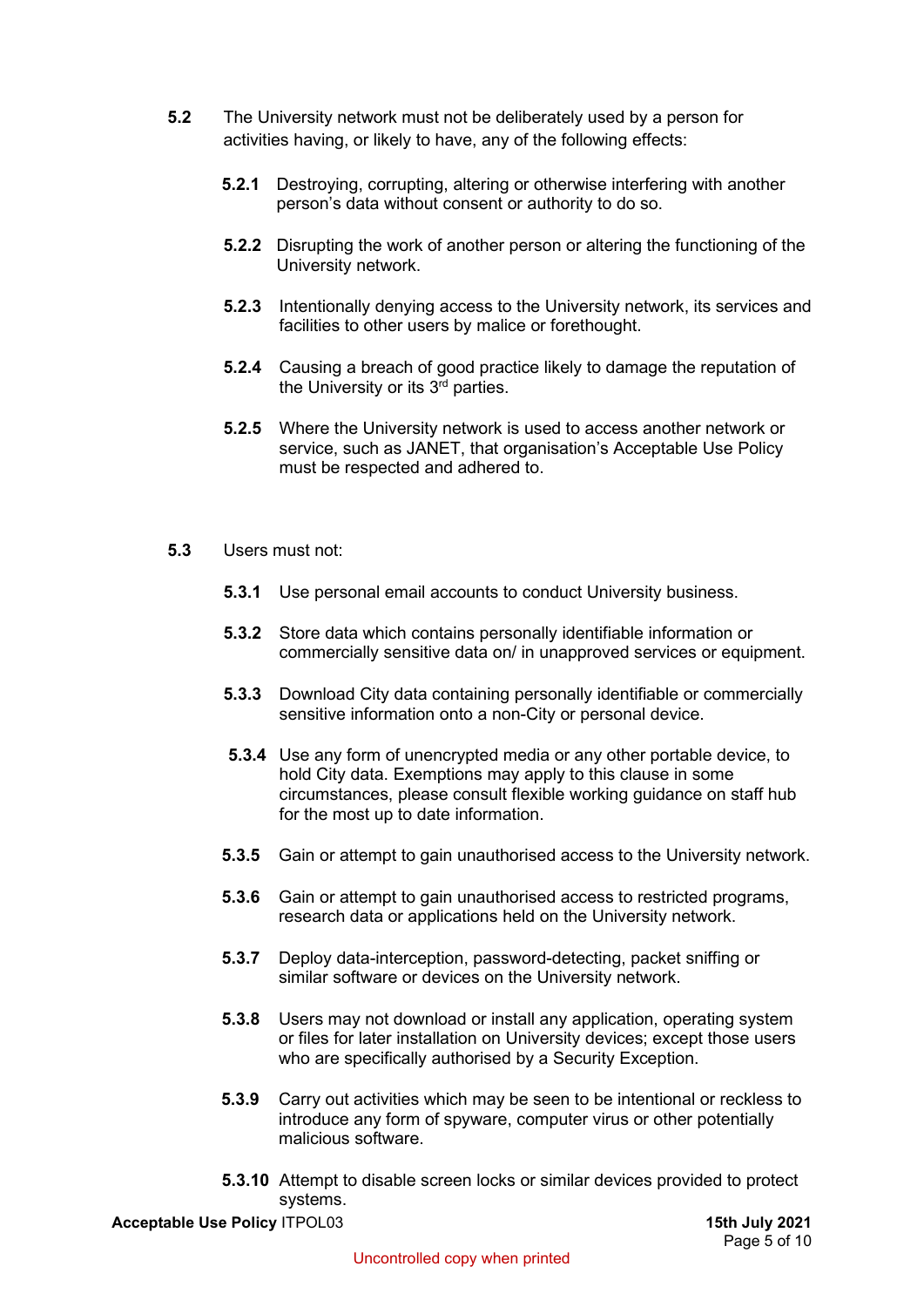- **5.2** The University network must not be deliberately used by a person for activities having, or likely to have, any of the following effects:
	- **5.2.1** Destroying, corrupting, altering or otherwise interfering with another person's data without consent or authority to do so.
	- **5.2.2** Disrupting the work of another person or altering the functioning of the University network.
	- **5.2.3** Intentionally denying access to the University network, its services and facilities to other users by malice or forethought.
	- **5.2.4** Causing a breach of good practice likely to damage the reputation of the University or its 3<sup>rd</sup> parties.
	- **5.2.5** Where the University network is used to access another network or service, such as JANET, that organisation's Acceptable Use Policy must be respected and adhered to.
- **5.3** Users must not:
	- **5.3.1** Use personal email accounts to conduct University business.
	- **5.3.2** Store data which contains personally identifiable information or commercially sensitive data on/ in unapproved services or equipment.
	- **5.3.3** Download City data containing personally identifiable or commercially sensitive information onto a non-City or personal device.
	- **5.3.4** Use any form of unencrypted media or any other portable device, to hold City data. Exemptions may apply to this clause in some circumstances, please consult flexible working guidance on staff hub for the most up to date information.
	- **5.3.5** Gain or attempt to gain unauthorised access to the University network.
	- **5.3.6** Gain or attempt to gain unauthorised access to restricted programs, research data or applications held on the University network.
	- **5.3.7** Deploy data-interception, password-detecting, packet sniffing or similar software or devices on the University network.
	- **5.3.8** Users may not download or install any application, operating system or files for later installation on University devices; except those users who are specifically authorised by a Security Exception.
	- **5.3.9** Carry out activities which may be seen to be intentional or reckless to introduce any form of spyware, computer virus or other potentially malicious software.
	- **5.3.10** Attempt to disable screen locks or similar devices provided to protect systems.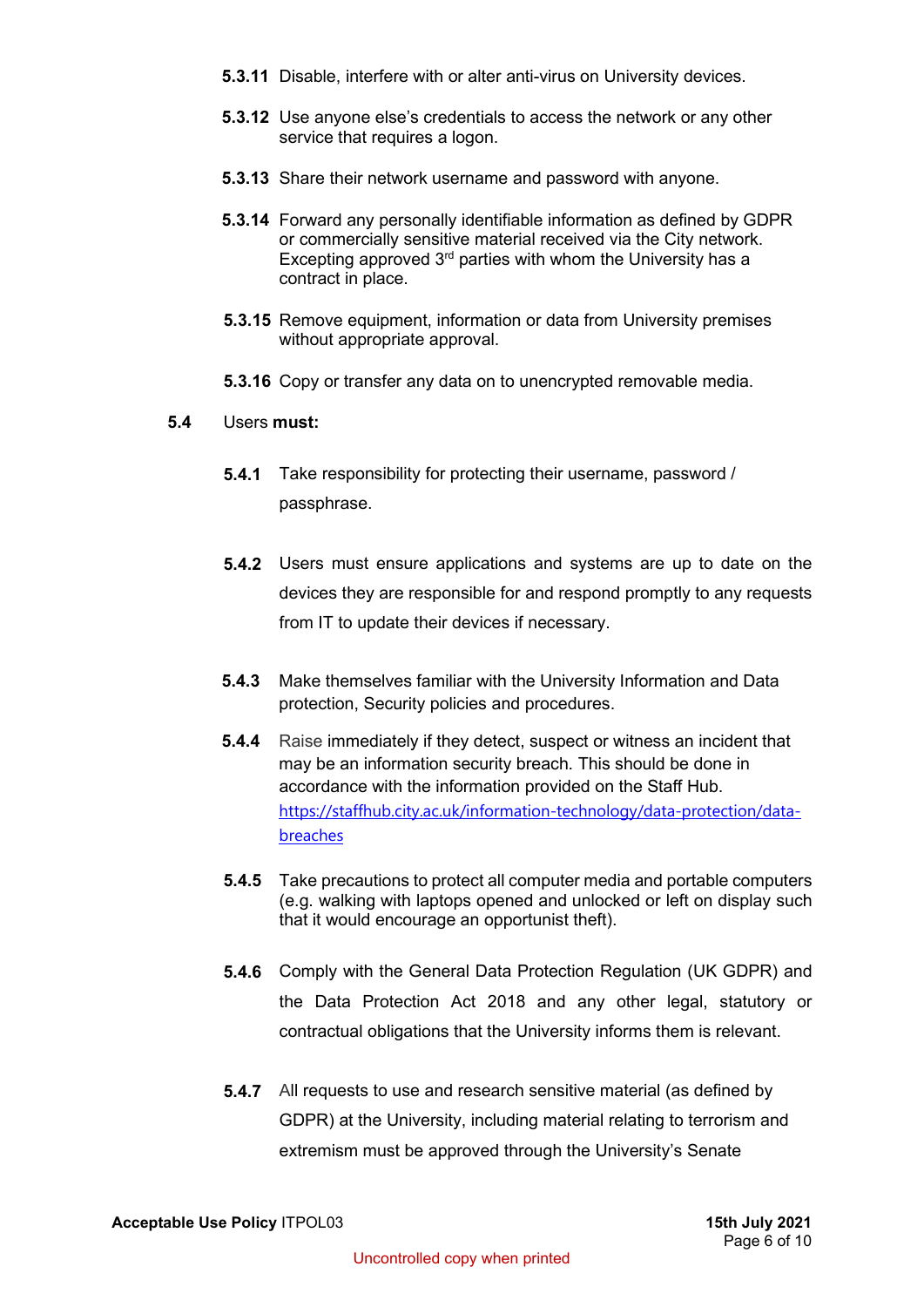- **5.3.11** Disable, interfere with or alter anti-virus on University devices.
- **5.3.12** Use anyone else's credentials to access the network or any other service that requires a logon.
- **5.3.13** Share their network username and password with anyone.
- **5.3.14** Forward any personally identifiable information as defined by GDPR or commercially sensitive material received via the City network. Excepting approved  $3<sup>rd</sup>$  parties with whom the University has a contract in place.
- **5.3.15** Remove equipment, information or data from University premises without appropriate approval.
- **5.3.16** Copy or transfer any data on to unencrypted removable media.

#### **5.4** Users **must:**

- **5.4.1** Take responsibility for protecting their username, password / passphrase.
- **5.4.2** Users must ensure applications and systems are up to date on the devices they are responsible for and respond promptly to any requests from IT to update their devices if necessary.
- **5.4.3** Make themselves familiar with the University Information and Data protection, Security policies and procedures.
- **5.4.4** Raise immediately if they detect, suspect or witness an incident that may be an information security breach. This should be done in accordance with the information provided on the Staff Hub. [https://staffhub.city.ac.uk/information-technology/data-protection/data](https://staffhub.city.ac.uk/information-technology/data-protection/data-breaches)[breaches](https://staffhub.city.ac.uk/information-technology/data-protection/data-breaches)
- **5.4.5** Take precautions to protect all computer media and portable computers (e.g. walking with laptops opened and unlocked or left on display such that it would encourage an opportunist theft).
- **5.4.6** Comply with the General Data Protection Regulation (UK GDPR) and the Data Protection Act 2018 and any other legal, statutory or contractual obligations that the University informs them is relevant.
- **5.4.7** All requests to use and research sensitive material (as defined by GDPR) at the University, including material relating to terrorism and extremism must be approved through the University's Senate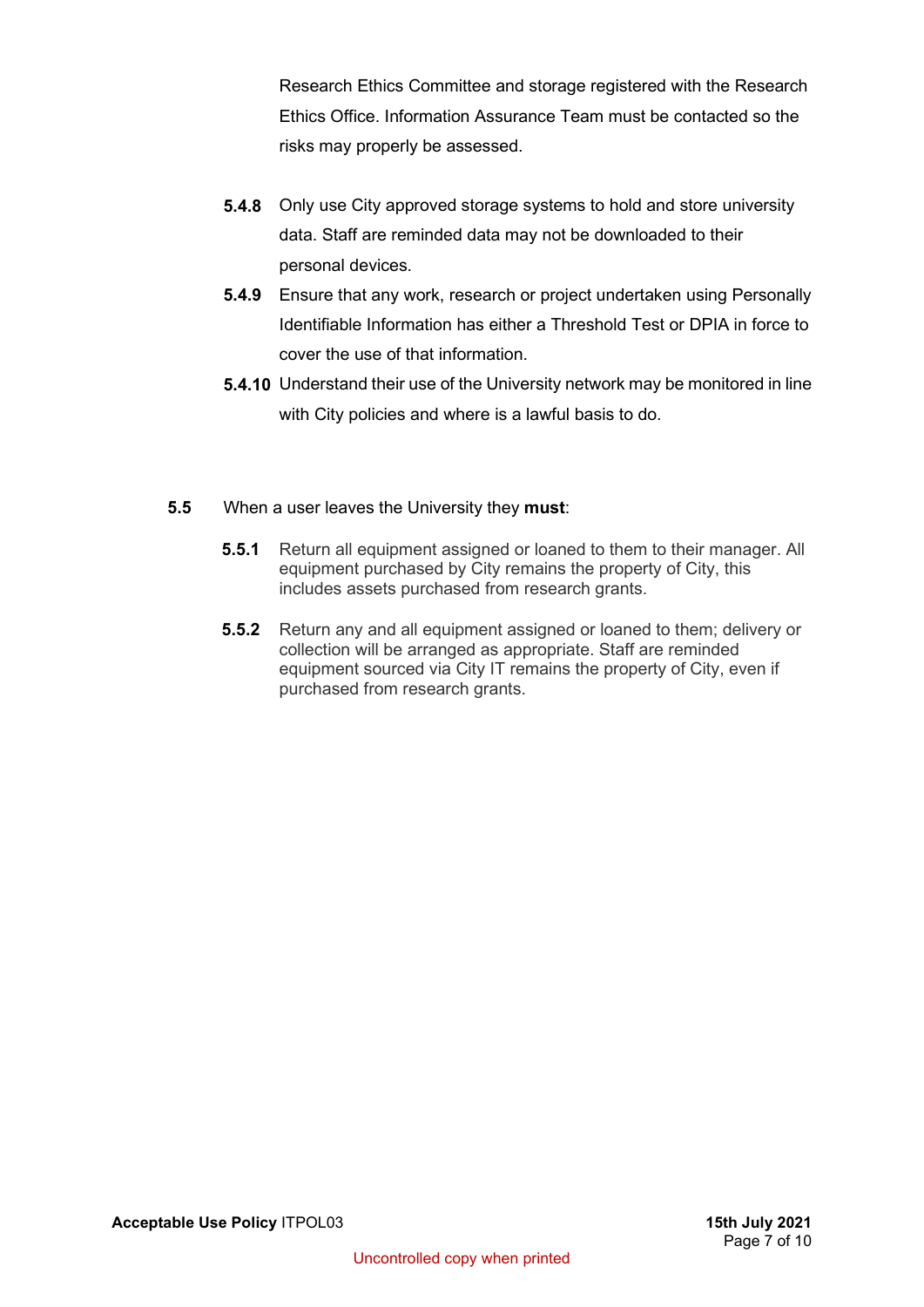Research Ethics Committee and storage registered with the Research Ethics Office. Information Assurance Team must be contacted so the risks may properly be assessed.

- **5.4.8** Only use City approved storage systems to hold and store university data. Staff are reminded data may not be downloaded to their personal devices.
- **5.4.9** Ensure that any work, research or project undertaken using Personally Identifiable Information has either a Threshold Test or DPIA in force to cover the use of that information.
- **5.4.10** Understand their use of the University network may be monitored in line with City policies and where is a lawful basis to do.
- **5.5** When a user leaves the University they **must**:
	- **5.5.1** Return all equipment assigned or loaned to them to their manager. All equipment purchased by City remains the property of City, this includes assets purchased from research grants.
	- **5.5.2** Return any and all equipment assigned or loaned to them; delivery or collection will be arranged as appropriate. Staff are reminded equipment sourced via City IT remains the property of City, even if purchased from research grants.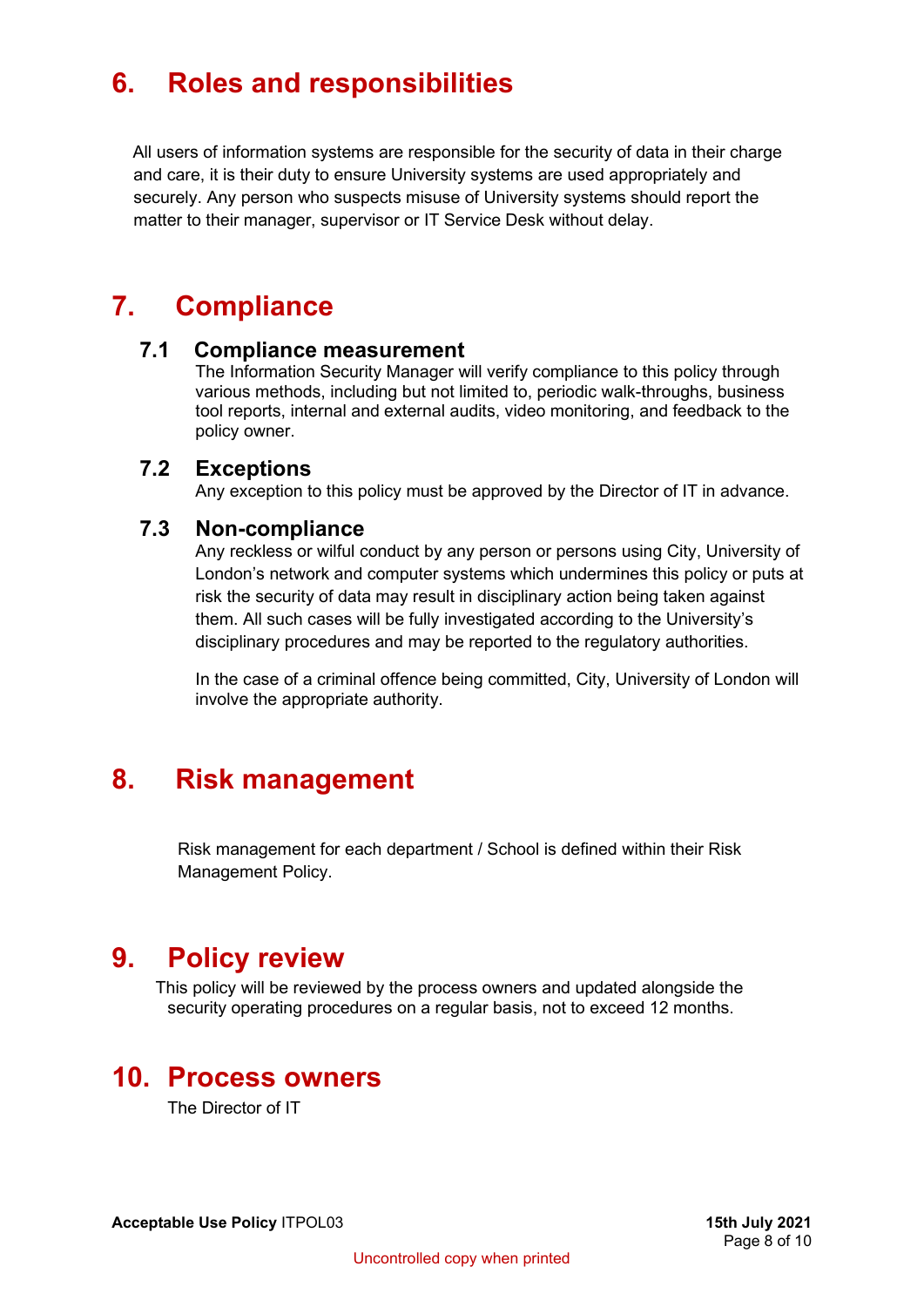## <span id="page-7-0"></span>**6. Roles and responsibilities**

All users of information systems are responsible for the security of data in their charge and care, it is their duty to ensure University systems are used appropriately and securely. Any person who suspects misuse of University systems should report the matter to their manager, supervisor or IT Service Desk without delay.

### <span id="page-7-1"></span>**7. Compliance**

#### **7.1 Compliance measurement**

The Information Security Manager will verify compliance to this policy through various methods, including but not limited to, periodic walk-throughs, business tool reports, internal and external audits, video monitoring, and feedback to the policy owner.

#### **7.2 Exceptions**

Any exception to this policy must be approved by the Director of IT in advance.

#### **7.3 Non-compliance**

Any reckless or wilful conduct by any person or persons using City, University of London's network and computer systems which undermines this policy or puts at risk the security of data may result in disciplinary action being taken against them. All such cases will be fully investigated according to the University's disciplinary procedures and may be reported to the regulatory authorities.

In the case of a criminal offence being committed, City, University of London will involve the appropriate authority.

#### <span id="page-7-2"></span>**8. Risk management**

Risk management for each department / School is defined within their Risk Management Policy.

#### <span id="page-7-3"></span>**9. Policy review**

This policy will be reviewed by the process owners and updated alongside the security operating procedures on a regular basis, not to exceed 12 months.

#### <span id="page-7-4"></span>**10. Process owners**

The Director of IT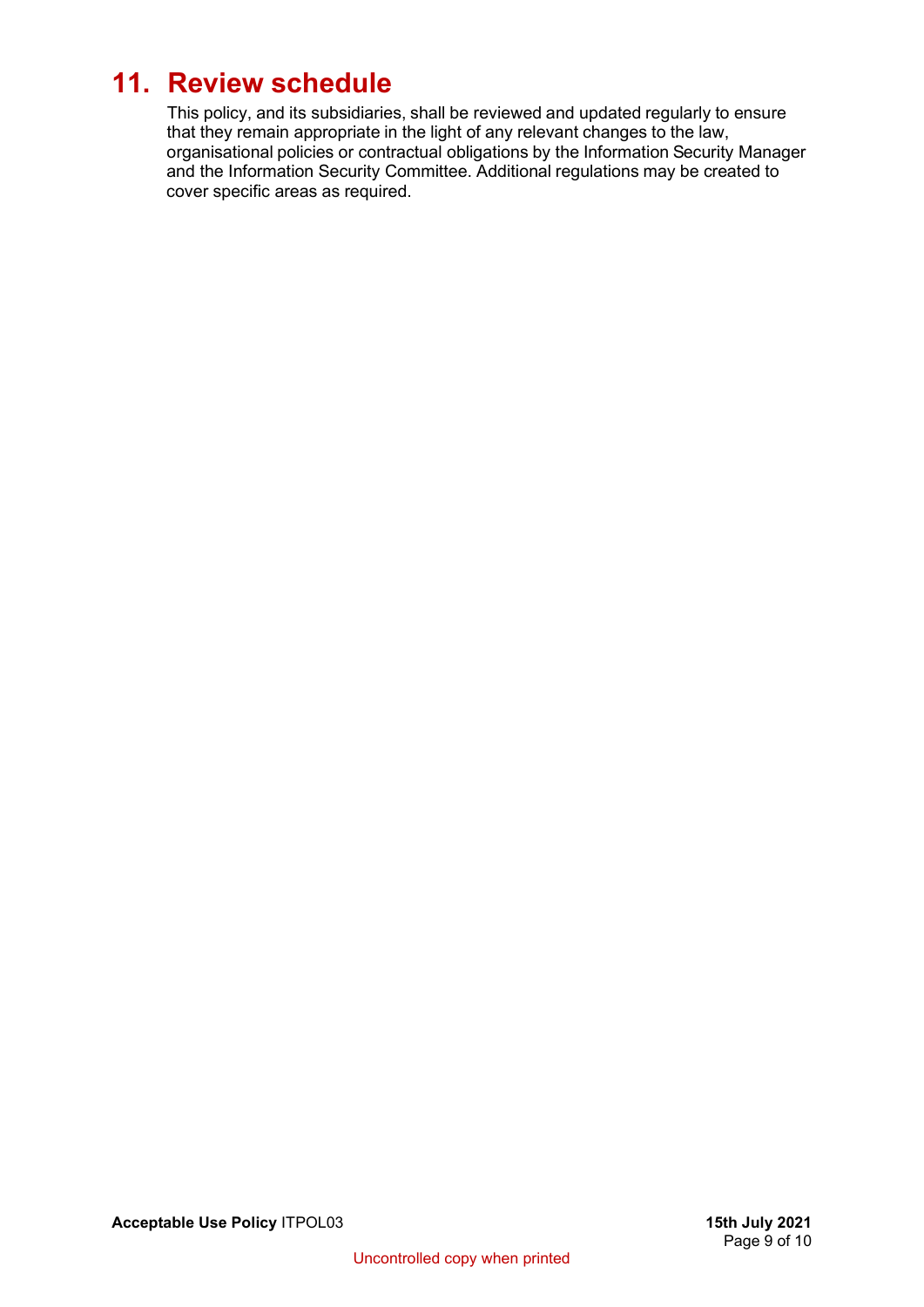## <span id="page-8-0"></span>**11. Review schedule**

This policy, and its subsidiaries, shall be reviewed and updated regularly to ensure that they remain appropriate in the light of any relevant changes to the law, organisational policies or contractual obligations by the Information Security Manager and the Information Security Committee. Additional regulations may be created to cover specific areas as required.